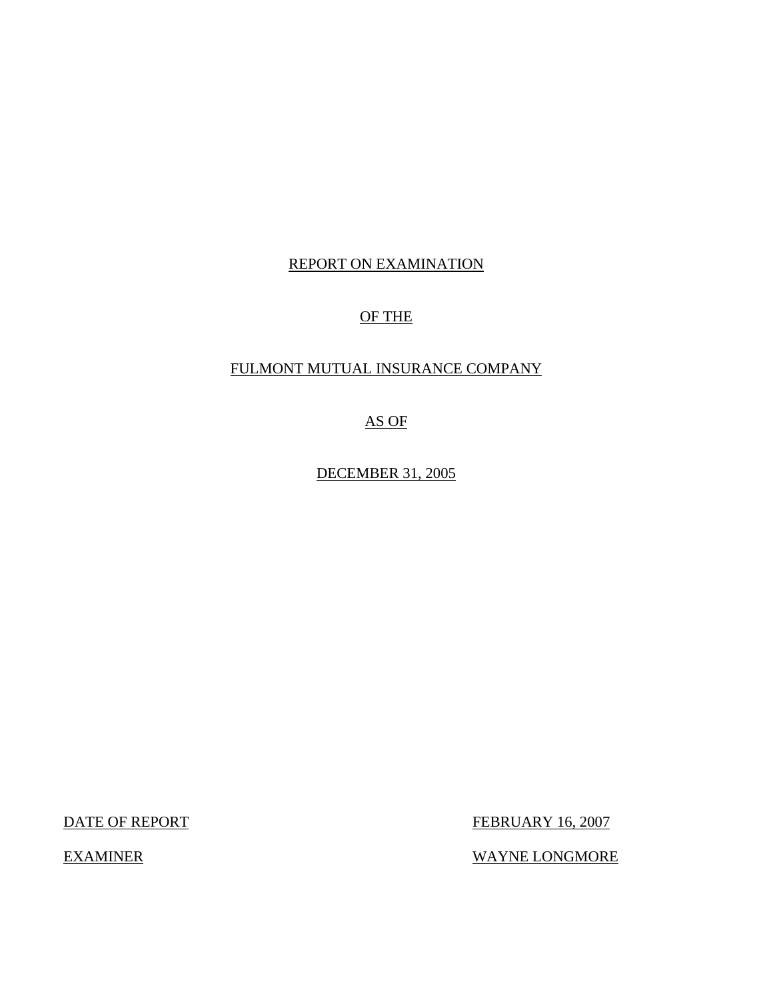# REPORT ON EXAMINATION

# OF THE

## FULMONT MUTUAL INSURANCE COMPANY

AS OF

DECEMBER 31, 2005

DATE OF REPORT FEBRUARY 16, 2007

EXAMINER WAYNE LONGMORE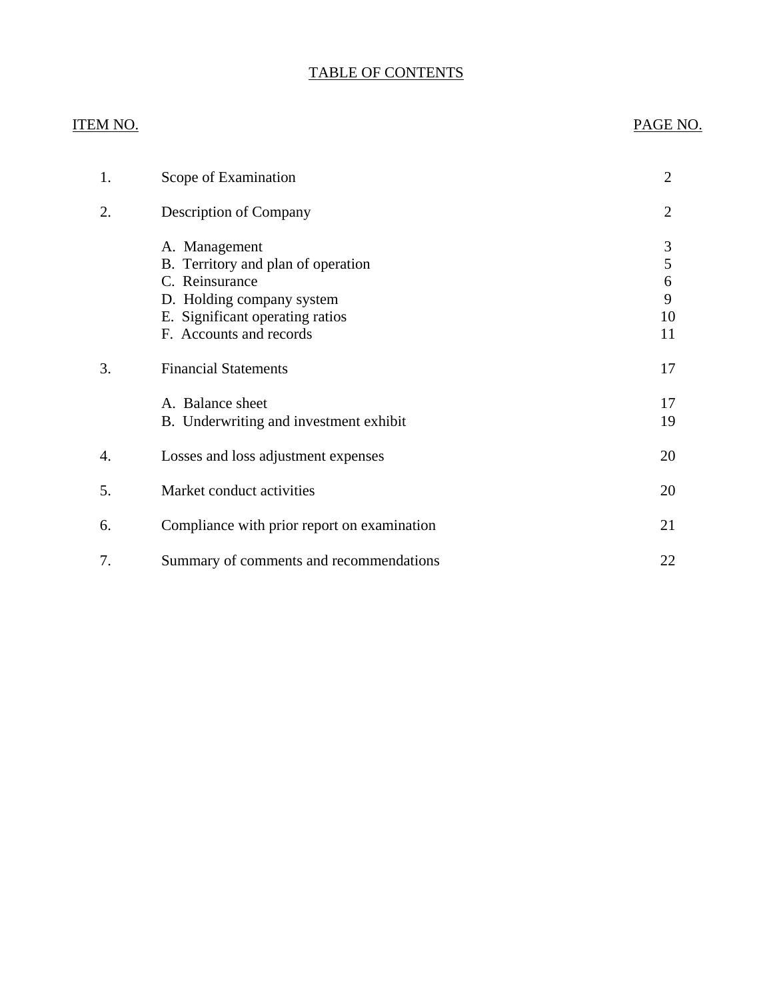# TABLE OF CONTENTS

## ITEM NO. PAGE NO.

| 1. | Scope of Examination                                                                                                                                             | $\overline{2}$               |
|----|------------------------------------------------------------------------------------------------------------------------------------------------------------------|------------------------------|
| 2. | <b>Description of Company</b>                                                                                                                                    | $\overline{2}$               |
|    | A. Management<br>B. Territory and plan of operation<br>C. Reinsurance<br>D. Holding company system<br>E. Significant operating ratios<br>F. Accounts and records | 3<br>5<br>6<br>9<br>10<br>11 |
| 3. | <b>Financial Statements</b>                                                                                                                                      | 17                           |
|    | A. Balance sheet<br>B. Underwriting and investment exhibit                                                                                                       | 17<br>19                     |
| 4. | Losses and loss adjustment expenses                                                                                                                              | 20                           |
| 5. | Market conduct activities                                                                                                                                        | 20                           |
| 6. | Compliance with prior report on examination                                                                                                                      | 21                           |
| 7. | Summary of comments and recommendations                                                                                                                          | 22                           |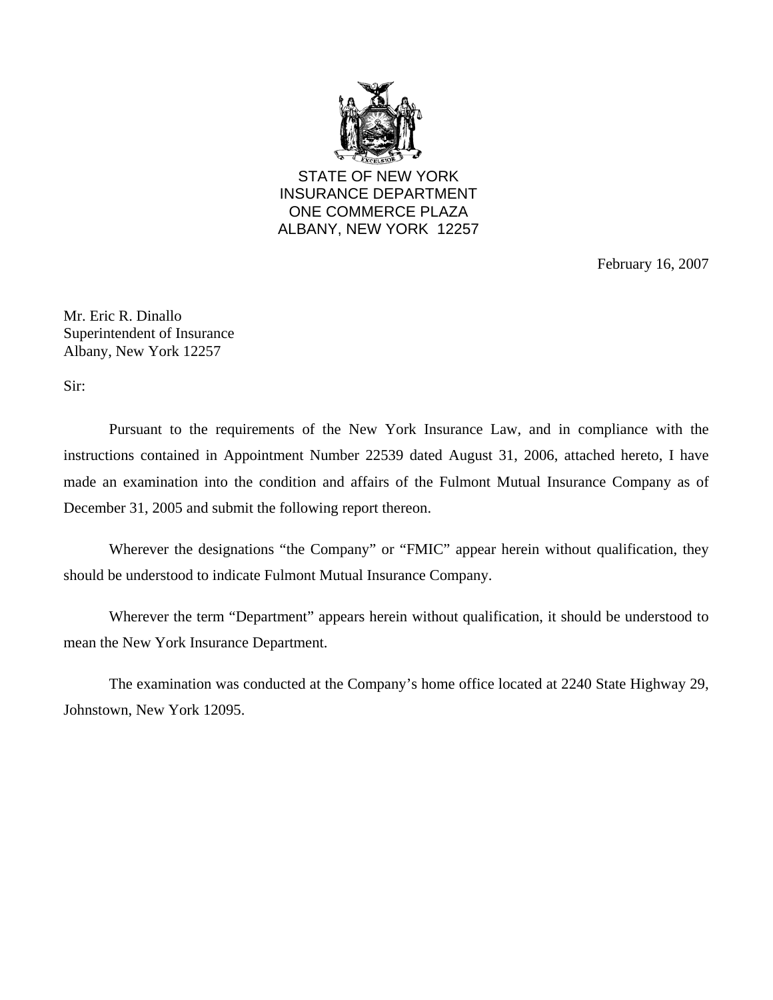

STATE OF NEW YORK INSURANCE DEPARTMENT ONE COMMERCE PLAZA ALBANY, NEW YORK 12257

February 16, 2007

Mr. Eric R. Dinallo Superintendent of Insurance Albany, New York 12257

Sir:

Pursuant to the requirements of the New York Insurance Law, and in compliance with the instructions contained in Appointment Number 22539 dated August 31, 2006, attached hereto, I have made an examination into the condition and affairs of the Fulmont Mutual Insurance Company as of December 31, 2005 and submit the following report thereon.

Wherever the designations "the Company" or "FMIC" appear herein without qualification, they should be understood to indicate Fulmont Mutual Insurance Company.

Wherever the term "Department" appears herein without qualification, it should be understood to mean the New York Insurance Department.

The examination was conducted at the Company's home office located at 2240 State Highway 29, Johnstown, New York 12095.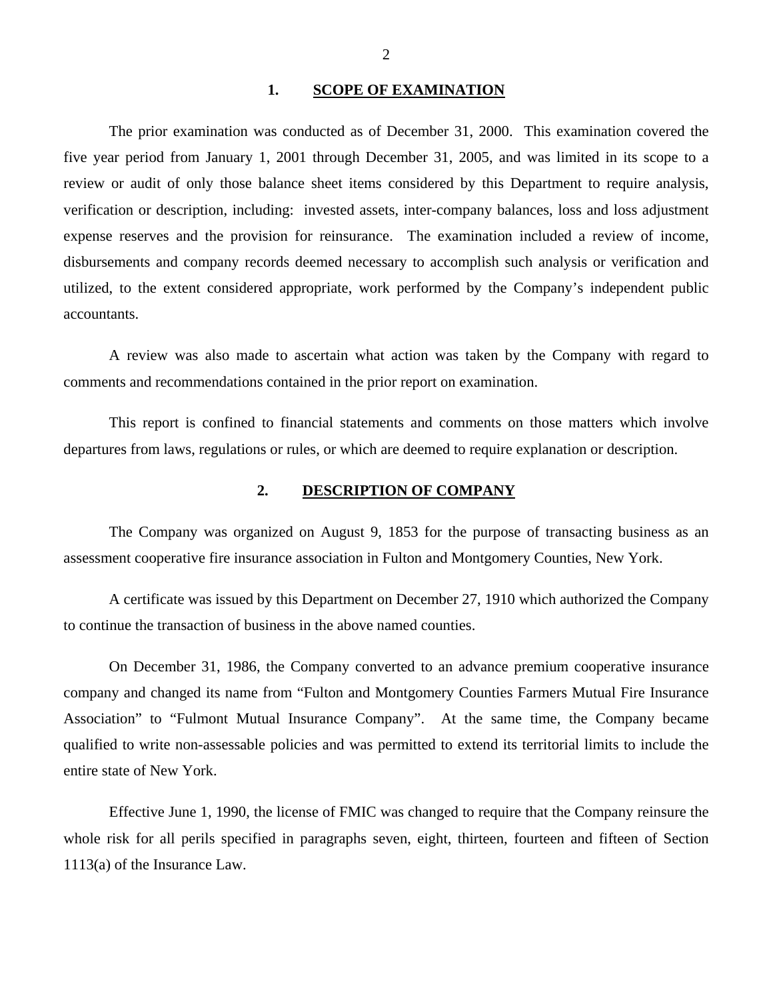### **1. SCOPE OF EXAMINATION**

<span id="page-3-0"></span>The prior examination was conducted as of December 31, 2000. This examination covered the five year period from January 1, 2001 through December 31, 2005, and was limited in its scope to a review or audit of only those balance sheet items considered by this Department to require analysis, verification or description, including: invested assets, inter-company balances, loss and loss adjustment expense reserves and the provision for reinsurance. The examination included a review of income, disbursements and company records deemed necessary to accomplish such analysis or verification and utilized, to the extent considered appropriate, work performed by the Company's independent public accountants.

A review was also made to ascertain what action was taken by the Company with regard to comments and recommendations contained in the prior report on examination.

This report is confined to financial statements and comments on those matters which involve departures from laws, regulations or rules, or which are deemed to require explanation or description.

### **2. DESCRIPTION OF COMPANY**

The Company was organized on August 9, 1853 for the purpose of transacting business as an assessment cooperative fire insurance association in Fulton and Montgomery Counties, New York.

A certificate was issued by this Department on December 27, 1910 which authorized the Company to continue the transaction of business in the above named counties.

On December 31, 1986, the Company converted to an advance premium cooperative insurance company and changed its name from "Fulton and Montgomery Counties Farmers Mutual Fire Insurance Association" to "Fulmont Mutual Insurance Company". At the same time, the Company became qualified to write non-assessable policies and was permitted to extend its territorial limits to include the entire state of New York.

Effective June 1, 1990, the license of FMIC was changed to require that the Company reinsure the whole risk for all perils specified in paragraphs seven, eight, thirteen, fourteen and fifteen of Section 1113(a) of the Insurance Law.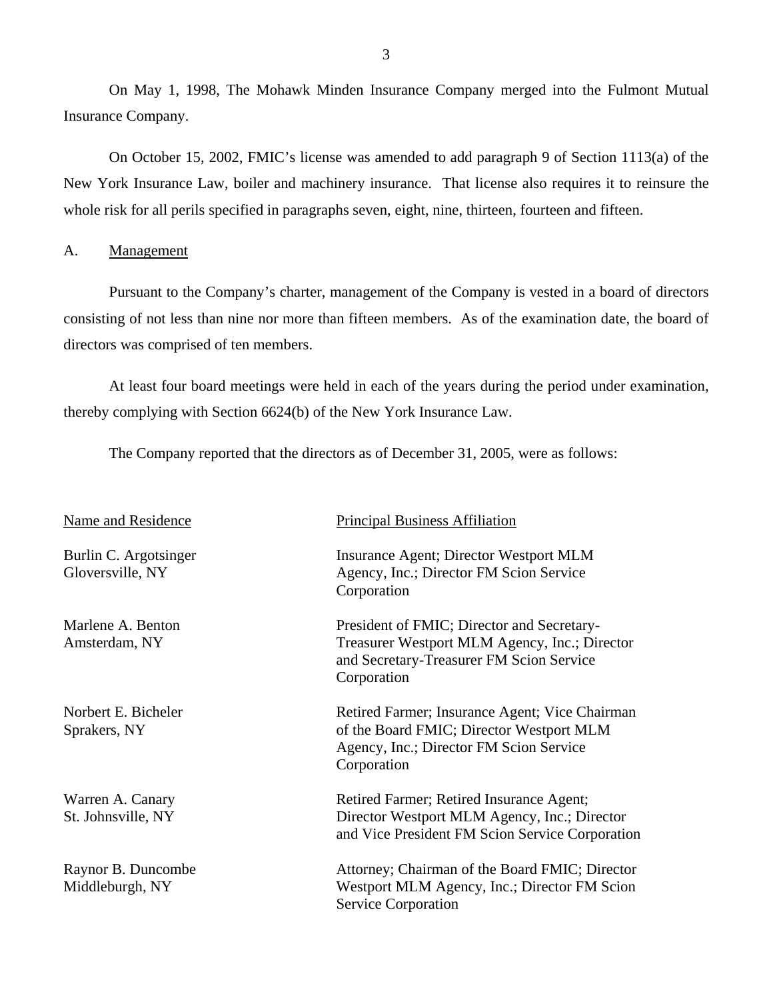On May 1, 1998, The Mohawk Minden Insurance Company merged into the Fulmont Mutual Insurance Company.

On October 15, 2002, FMIC's license was amended to add paragraph 9 of Section 1113(a) of the New York Insurance Law, boiler and machinery insurance. That license also requires it to reinsure the whole risk for all perils specified in paragraphs seven, eight, nine, thirteen, fourteen and fifteen.

## A. Management

Pursuant to the Company's charter, management of the Company is vested in a board of directors consisting of not less than nine nor more than fifteen members. As of the examination date, the board of directors was comprised of ten members.

At least four board meetings were held in each of the years during the period under examination, thereby complying with Section 6624(b) of the New York Insurance Law.

The Company reported that the directors as of December 31, 2005, were as follows:

| Name and Residence |
|--------------------|
|--------------------|

Burlin C. Argotsinger Gloversville, NY

Marlene A. Benton Amsterdam, NY

Norbert E. Bicheler Sprakers, NY

Warren A. Canary St. Johnsville, NY

Raynor B. Duncombe Middleburgh, NY

## Principal Business Affiliation

Insurance Agent; Director Westport MLM Agency, Inc.; Director FM Scion Service Corporation

President of FMIC; Director and Secretary-Treasurer Westport MLM Agency, Inc.; Director and Secretary-Treasurer FM Scion Service Corporation

Retired Farmer; Insurance Agent; Vice Chairman of the Board FMIC; Director Westport MLM Agency, Inc.; Director FM Scion Service Corporation

Retired Farmer; Retired Insurance Agent; Director Westport MLM Agency, Inc.; Director and Vice President FM Scion Service Corporation

Attorney; Chairman of the Board FMIC; Director Westport MLM Agency, Inc.; Director FM Scion Service Corporation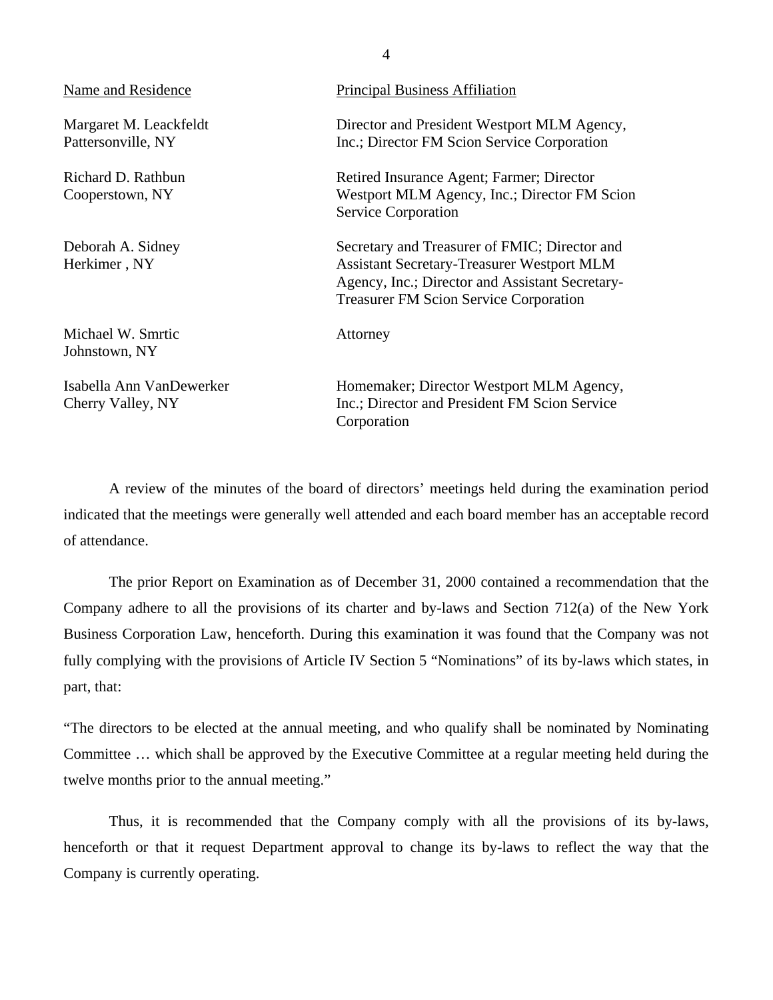| Name and Residence                            | <b>Principal Business Affiliation</b>                                                                                                                                                                  |
|-----------------------------------------------|--------------------------------------------------------------------------------------------------------------------------------------------------------------------------------------------------------|
| Margaret M. Leackfeldt<br>Pattersonville, NY  | Director and President Westport MLM Agency,<br>Inc.; Director FM Scion Service Corporation                                                                                                             |
| Richard D. Rathbun<br>Cooperstown, NY         | Retired Insurance Agent; Farmer; Director<br>Westport MLM Agency, Inc.; Director FM Scion<br><b>Service Corporation</b>                                                                                |
| Deborah A. Sidney<br>Herkimer, NY             | Secretary and Treasurer of FMIC; Director and<br><b>Assistant Secretary-Treasurer Westport MLM</b><br>Agency, Inc.; Director and Assistant Secretary-<br><b>Treasurer FM Scion Service Corporation</b> |
| Michael W. Smrtic<br>Johnstown, NY            | Attorney                                                                                                                                                                                               |
| Isabella Ann VanDewerker<br>Cherry Valley, NY | Homemaker; Director Westport MLM Agency,<br>Inc.; Director and President FM Scion Service<br>Corporation                                                                                               |

A review of the minutes of the board of directors' meetings held during the examination period indicated that the meetings were generally well attended and each board member has an acceptable record of attendance.

The prior Report on Examination as of December 31, 2000 contained a recommendation that the Company adhere to all the provisions of its charter and by-laws and Section 712(a) of the New York Business Corporation Law, henceforth. During this examination it was found that the Company was not fully complying with the provisions of Article IV Section 5 "Nominations" of its by-laws which states, in part, that:

"The directors to be elected at the annual meeting, and who qualify shall be nominated by Nominating Committee … which shall be approved by the Executive Committee at a regular meeting held during the twelve months prior to the annual meeting."

Thus, it is recommended that the Company comply with all the provisions of its by-laws, henceforth or that it request Department approval to change its by-laws to reflect the way that the Company is currently operating.

4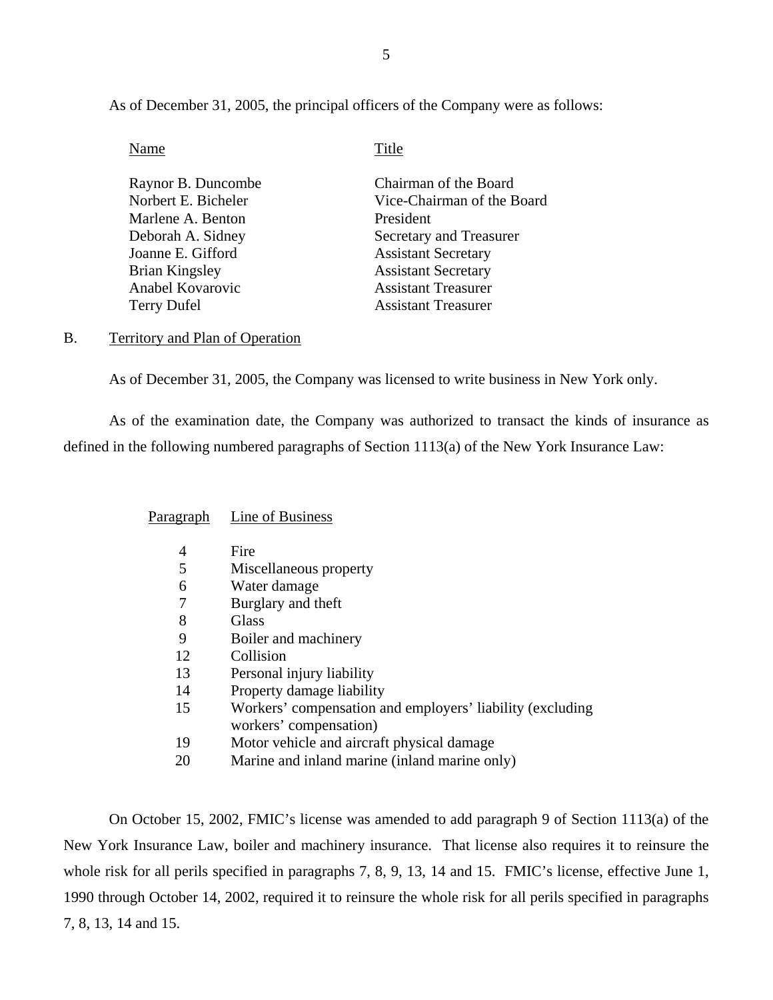As of December 31, 2005, the principal officers of the Company were as follows:

Name Title

| Raynor B. Duncombe    | Chairman of the Board      |
|-----------------------|----------------------------|
| Norbert E. Bicheler   | Vice-Chairman of the Board |
| Marlene A. Benton     | President                  |
| Deborah A. Sidney     | Secretary and Treasurer    |
| Joanne E. Gifford     | <b>Assistant Secretary</b> |
| <b>Brian Kingsley</b> | <b>Assistant Secretary</b> |
| Anabel Kovarovic      | <b>Assistant Treasurer</b> |
| <b>Terry Dufel</b>    | <b>Assistant Treasurer</b> |
|                       |                            |

<span id="page-6-0"></span>B. Territory and Plan of Operation

As of December 31, 2005, the Company was licensed to write business in New York only.

As of the examination date, the Company was authorized to transact the kinds of insurance as defined in the following numbered paragraphs of Section 1113(a) of the New York Insurance Law:

Paragraph Line of Business

|    | Fire                                                      |
|----|-----------------------------------------------------------|
| 5  | Miscellaneous property                                    |
| 6  | Water damage                                              |
|    | Burglary and theft                                        |
| 8  | Glass                                                     |
| 9  | Boiler and machinery                                      |
| 12 | Collision                                                 |
| 13 | Personal injury liability                                 |
| 14 | Property damage liability                                 |
| 15 | Workers' compensation and employers' liability (excluding |
|    | workers' compensation)                                    |
| 19 | Motor vehicle and aircraft physical damage                |
| 20 | Marine and inland marine (inland marine only)             |

On October 15, 2002, FMIC's license was amended to add paragraph 9 of Section 1113(a) of the New York Insurance Law, boiler and machinery insurance. That license also requires it to reinsure the whole risk for all perils specified in paragraphs 7, 8, 9, 13, 14 and 15. FMIC's license, effective June 1, 1990 through October 14, 2002, required it to reinsure the whole risk for all perils specified in paragraphs 7, 8, 13, 14 and 15.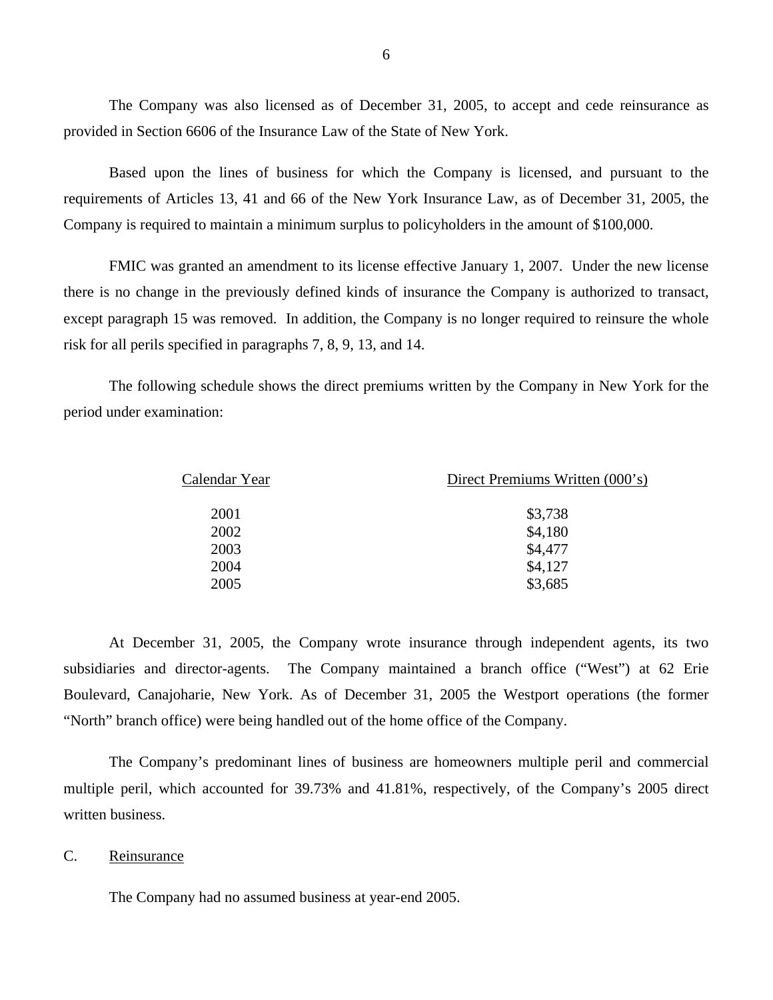The Company was also licensed as of December 31, 2005, to accept and cede reinsurance as provided in Section 6606 of the Insurance Law of the State of New York.

Based upon the lines of business for which the Company is licensed, and pursuant to the requirements of Articles 13, 41 and 66 of the New York Insurance Law, as of December 31, 2005, the Company is required to maintain a minimum surplus to policyholders in the amount of \$100,000.

FMIC was granted an amendment to its license effective January 1, 2007. Under the new license there is no change in the previously defined kinds of insurance the Company is authorized to transact, except paragraph 15 was removed. In addition, the Company is no longer required to reinsure the whole risk for all perils specified in paragraphs 7, 8, 9, 13, and 14.

The following schedule shows the direct premiums written by the Company in New York for the period under examination:

| Calendar Year | Direct Premiums Written (000's) |
|---------------|---------------------------------|
| 2001          | \$3,738                         |
| 2002          | \$4,180                         |
| 2003          | \$4,477                         |
| 2004          | \$4,127                         |
| 2005          | \$3,685                         |
|               |                                 |

At December 31, 2005, the Company wrote insurance through independent agents, its two subsidiaries and director-agents. The Company maintained a branch office ("West") at 62 Erie Boulevard, Canajoharie, New York. As of December 31, 2005 the Westport operations (the former "North" branch office) were being handled out of the home office of the Company.

The Company's predominant lines of business are homeowners multiple peril and commercial multiple peril, which accounted for 39.73% and 41.81%, respectively, of the Company's 2005 direct written business.

## <span id="page-7-0"></span>C. Reinsurance

The Company had no assumed business at year-end 2005.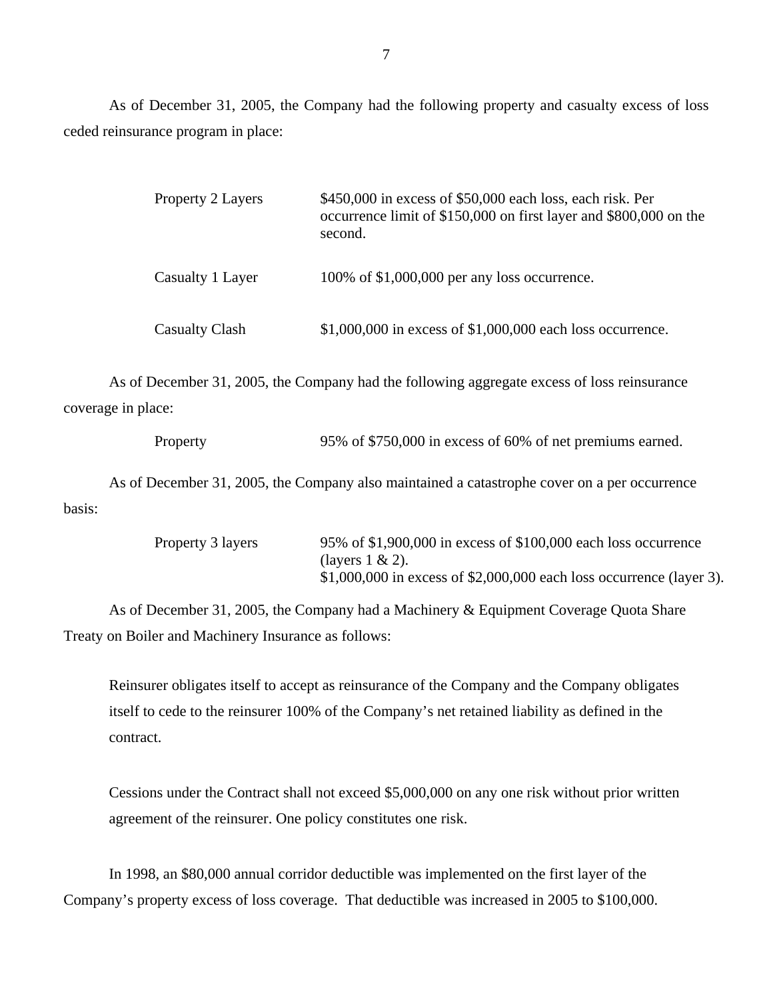As of December 31, 2005, the Company had the following property and casualty excess of loss ceded reinsurance program in place:

| <b>Property 2 Layers</b> | $$450,000$ in excess of $$50,000$ each loss, each risk. Per<br>occurrence limit of \$150,000 on first layer and \$800,000 on the<br>second. |
|--------------------------|---------------------------------------------------------------------------------------------------------------------------------------------|
| Casualty 1 Layer         | 100% of \$1,000,000 per any loss occurrence.                                                                                                |
| <b>Casualty Clash</b>    | $$1,000,000$ in excess of $$1,000,000$ each loss occurrence.                                                                                |

As of December 31, 2005, the Company had the following aggregate excess of loss reinsurance coverage in place:

Property 95% of \$750,000 in excess of 60% of net premiums earned.

As of December 31, 2005, the Company also maintained a catastrophe cover on a per occurrence basis:

| Property 3 layers | 95% of \$1,900,000 in excess of \$100,000 each loss occurrence         |
|-------------------|------------------------------------------------------------------------|
|                   | (layers $1 \& 2$ ).                                                    |
|                   | $$1,000,000$ in excess of $$2,000,000$ each loss occurrence (layer 3). |

As of December 31, 2005, the Company had a Machinery & Equipment Coverage Quota Share Treaty on Boiler and Machinery Insurance as follows:

Reinsurer obligates itself to accept as reinsurance of the Company and the Company obligates itself to cede to the reinsurer 100% of the Company's net retained liability as defined in the contract.

Cessions under the Contract shall not exceed \$5,000,000 on any one risk without prior written agreement of the reinsurer. One policy constitutes one risk.

In 1998, an \$80,000 annual corridor deductible was implemented on the first layer of the Company's property excess of loss coverage. That deductible was increased in 2005 to \$100,000.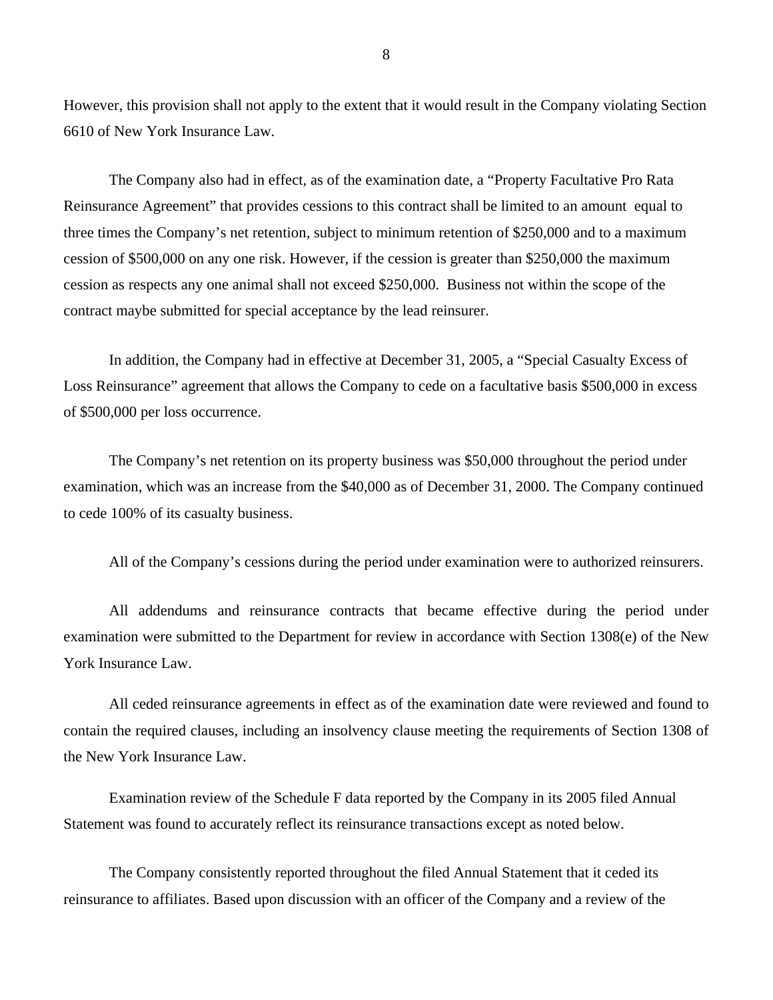However, this provision shall not apply to the extent that it would result in the Company violating Section 6610 of New York Insurance Law.

The Company also had in effect, as of the examination date, a "Property Facultative Pro Rata Reinsurance Agreement" that provides cessions to this contract shall be limited to an amount equal to three times the Company's net retention, subject to minimum retention of \$250,000 and to a maximum cession of \$500,000 on any one risk. However, if the cession is greater than \$250,000 the maximum cession as respects any one animal shall not exceed \$250,000. Business not within the scope of the contract maybe submitted for special acceptance by the lead reinsurer.

In addition, the Company had in effective at December 31, 2005, a "Special Casualty Excess of Loss Reinsurance" agreement that allows the Company to cede on a facultative basis \$500,000 in excess of \$500,000 per loss occurrence.

The Company's net retention on its property business was \$50,000 throughout the period under examination, which was an increase from the \$40,000 as of December 31, 2000. The Company continued to cede 100% of its casualty business.

All of the Company's cessions during the period under examination were to authorized reinsurers.

All addendums and reinsurance contracts that became effective during the period under examination were submitted to the Department for review in accordance with Section 1308(e) of the New York Insurance Law.

All ceded reinsurance agreements in effect as of the examination date were reviewed and found to contain the required clauses, including an insolvency clause meeting the requirements of Section 1308 of the New York Insurance Law.

Examination review of the Schedule F data reported by the Company in its 2005 filed Annual Statement was found to accurately reflect its reinsurance transactions except as noted below.

The Company consistently reported throughout the filed Annual Statement that it ceded its reinsurance to affiliates. Based upon discussion with an officer of the Company and a review of the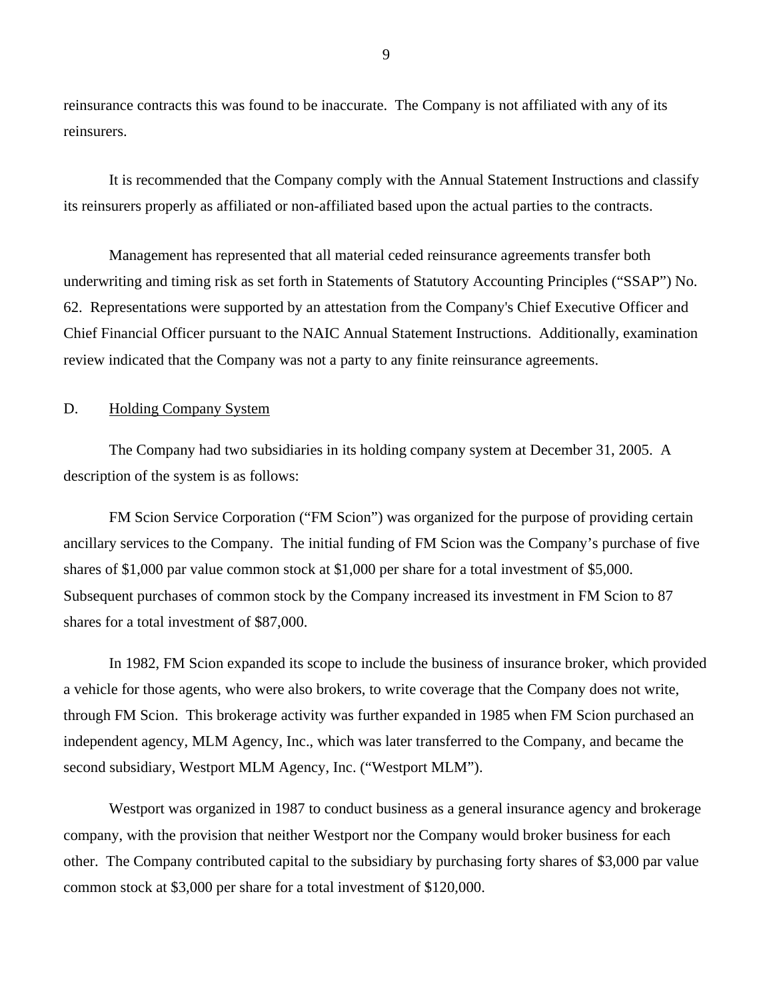reinsurance contracts this was found to be inaccurate. The Company is not affiliated with any of its reinsurers.

It is recommended that the Company comply with the Annual Statement Instructions and classify its reinsurers properly as affiliated or non-affiliated based upon the actual parties to the contracts.

Management has represented that all material ceded reinsurance agreements transfer both underwriting and timing risk as set forth in Statements of Statutory Accounting Principles ("SSAP") No. 62. Representations were supported by an attestation from the Company's Chief Executive Officer and Chief Financial Officer pursuant to the NAIC Annual Statement Instructions. Additionally, examination review indicated that the Company was not a party to any finite reinsurance agreements.

## <span id="page-10-0"></span>D. Holding Company System

The Company had two subsidiaries in its holding company system at December 31, 2005. A description of the system is as follows:

FM Scion Service Corporation ("FM Scion") was organized for the purpose of providing certain ancillary services to the Company. The initial funding of FM Scion was the Company's purchase of five shares of \$1,000 par value common stock at \$1,000 per share for a total investment of \$5,000. Subsequent purchases of common stock by the Company increased its investment in FM Scion to 87 shares for a total investment of \$87,000.

In 1982, FM Scion expanded its scope to include the business of insurance broker, which provided a vehicle for those agents, who were also brokers, to write coverage that the Company does not write, through FM Scion. This brokerage activity was further expanded in 1985 when FM Scion purchased an independent agency, MLM Agency, Inc., which was later transferred to the Company, and became the second subsidiary, Westport MLM Agency, Inc. ("Westport MLM").

Westport was organized in 1987 to conduct business as a general insurance agency and brokerage company, with the provision that neither Westport nor the Company would broker business for each other. The Company contributed capital to the subsidiary by purchasing forty shares of \$3,000 par value common stock at \$3,000 per share for a total investment of \$120,000.

9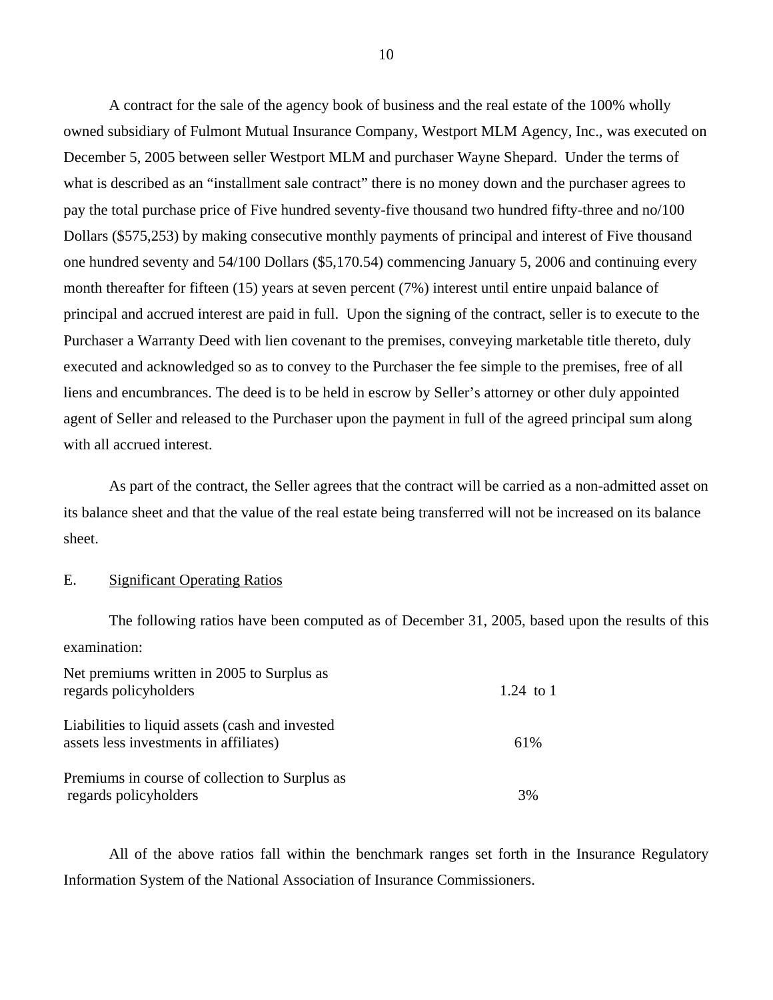A contract for the sale of the agency book of business and the real estate of the 100% wholly owned subsidiary of Fulmont Mutual Insurance Company, Westport MLM Agency, Inc., was executed on December 5, 2005 between seller Westport MLM and purchaser Wayne Shepard. Under the terms of what is described as an "installment sale contract" there is no money down and the purchaser agrees to pay the total purchase price of Five hundred seventy-five thousand two hundred fifty-three and no/100 Dollars (\$575,253) by making consecutive monthly payments of principal and interest of Five thousand one hundred seventy and 54/100 Dollars (\$[5,170.54\)](https://5,170.54) commencing January 5, 2006 and continuing every month thereafter for fifteen (15) years at seven percent (7%) interest until entire unpaid balance of principal and accrued interest are paid in full. Upon the signing of the contract, seller is to execute to the Purchaser a Warranty Deed with lien covenant to the premises, conveying marketable title thereto, duly executed and acknowledged so as to convey to the Purchaser the fee simple to the premises, free of all liens and encumbrances. The deed is to be held in escrow by Seller's attorney or other duly appointed agent of Seller and released to the Purchaser upon the payment in full of the agreed principal sum along with all accrued interest.

As part of the contract, the Seller agrees that the contract will be carried as a non-admitted asset on its balance sheet and that the value of the real estate being transferred will not be increased on its balance sheet.

## <span id="page-11-0"></span>E. Significant Operating Ratios

The following ratios have been computed as of December 31, 2005, based upon the results of this examination:

| Net premiums written in 2005 to Surplus as<br>regards policyholders                       | 1.24 to 1 |
|-------------------------------------------------------------------------------------------|-----------|
| Liabilities to liquid assets (cash and invested<br>assets less investments in affiliates) | 61\%      |
| Premiums in course of collection to Surplus as<br>regards policyholders                   | 3%        |

All of the above ratios fall within the benchmark ranges set forth in the Insurance Regulatory Information System of the National Association of Insurance Commissioners.

10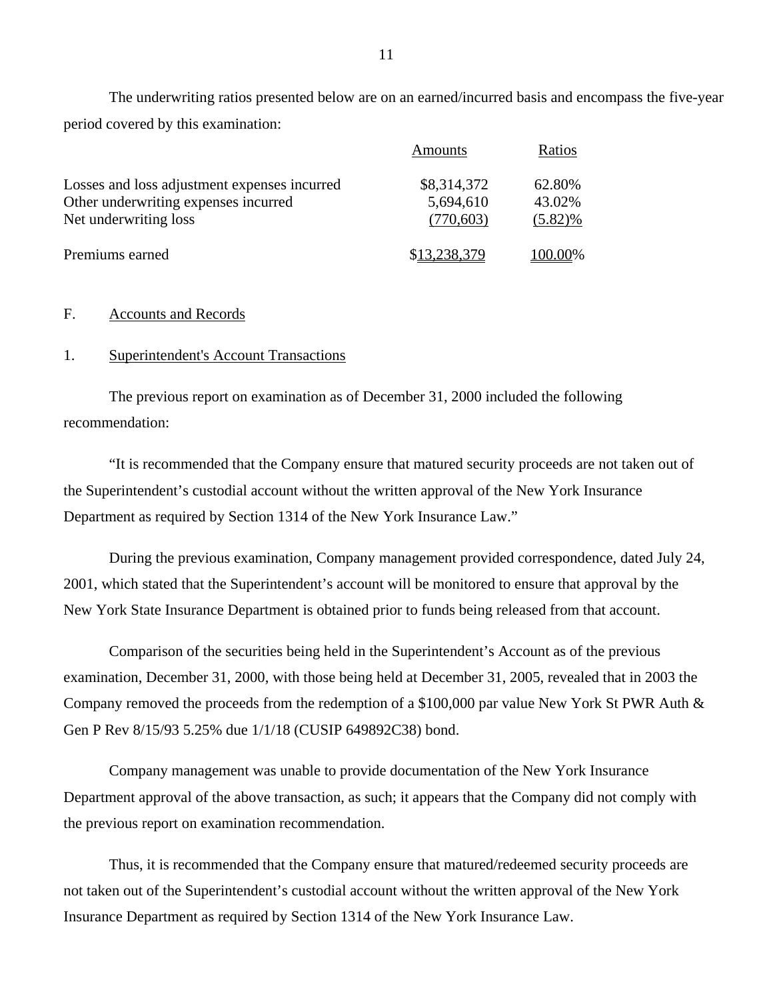The underwriting ratios presented below are on an earned/incurred basis and encompass the five-year period covered by this examination:

|                                              | Amounts      | Ratios     |
|----------------------------------------------|--------------|------------|
| Losses and loss adjustment expenses incurred | \$8,314,372  | 62.80%     |
| Other underwriting expenses incurred         | 5,694,610    | 43.02%     |
| Net underwriting loss                        | (770, 603)   | $(5.82)\%$ |
| Premiums earned                              | \$13,238,379 | 100.00%    |

### <span id="page-12-0"></span>F. Accounts and Records

#### 1. Superintendent's Account Transactions

The previous report on examination as of December 31, 2000 included the following recommendation:

"It is recommended that the Company ensure that matured security proceeds are not taken out of the Superintendent's custodial account without the written approval of the New York Insurance Department as required by Section 1314 of the New York Insurance Law."

During the previous examination, Company management provided correspondence, dated July 24, 2001, which stated that the Superintendent's account will be monitored to ensure that approval by the New York State Insurance Department is obtained prior to funds being released from that account.

Comparison of the securities being held in the Superintendent's Account as of the previous examination, December 31, 2000, with those being held at December 31, 2005, revealed that in 2003 the Company removed the proceeds from the redemption of a \$100,000 par value New York St PWR Auth & Gen P Rev 8/15/93 5.25% due 1/1/18 (CUSIP 649892C38) bond.

Company management was unable to provide documentation of the New York Insurance Department approval of the above transaction, as such; it appears that the Company did not comply with the previous report on examination recommendation.

Thus, it is recommended that the Company ensure that matured/redeemed security proceeds are not taken out of the Superintendent's custodial account without the written approval of the New York Insurance Department as required by Section 1314 of the New York Insurance Law.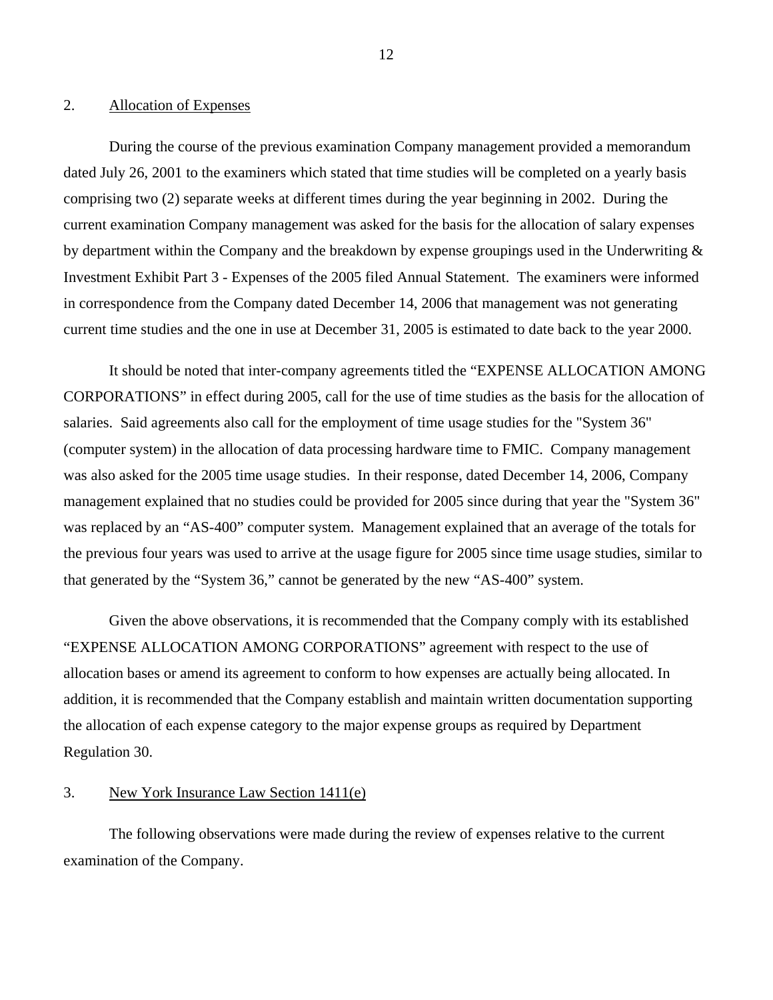## 2. Allocation of Expenses

During the course of the previous examination Company management provided a memorandum dated July 26, 2001 to the examiners which stated that time studies will be completed on a yearly basis comprising two (2) separate weeks at different times during the year beginning in 2002. During the current examination Company management was asked for the basis for the allocation of salary expenses by department within the Company and the breakdown by expense groupings used in the Underwriting & Investment Exhibit Part 3 - Expenses of the 2005 filed Annual Statement. The examiners were informed in correspondence from the Company dated December 14, 2006 that management was not generating current time studies and the one in use at December 31, 2005 is estimated to date back to the year 2000.

It should be noted that inter-company agreements titled the "EXPENSE ALLOCATION AMONG CORPORATIONS" in effect during 2005, call for the use of time studies as the basis for the allocation of salaries. Said agreements also call for the employment of time usage studies for the "System 36" (computer system) in the allocation of data processing hardware time to FMIC. Company management was also asked for the 2005 time usage studies. In their response, dated December 14, 2006, Company management explained that no studies could be provided for 2005 since during that year the "System 36" was replaced by an "AS-400" computer system. Management explained that an average of the totals for the previous four years was used to arrive at the usage figure for 2005 since time usage studies, similar to that generated by the "System 36," cannot be generated by the new "AS-400" system.

Given the above observations, it is recommended that the Company comply with its established "EXPENSE ALLOCATION AMONG CORPORATIONS" agreement with respect to the use of allocation bases or amend its agreement to conform to how expenses are actually being allocated. In addition, it is recommended that the Company establish and maintain written documentation supporting the allocation of each expense category to the major expense groups as required by Department Regulation 30.

## 3. New York Insurance Law Section 1411(e)

The following observations were made during the review of expenses relative to the current examination of the Company.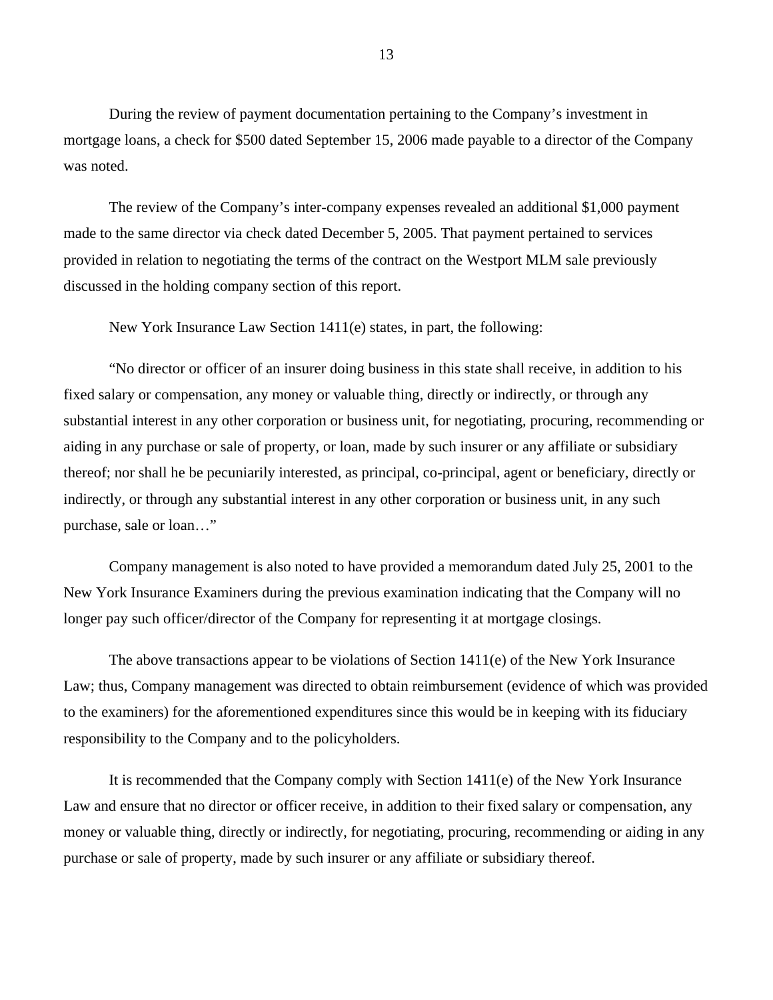During the review of payment documentation pertaining to the Company's investment in mortgage loans, a check for \$500 dated September 15, 2006 made payable to a director of the Company was noted.

The review of the Company's inter-company expenses revealed an additional \$1,000 payment made to the same director via check dated December 5, 2005. That payment pertained to services provided in relation to negotiating the terms of the contract on the Westport MLM sale previously discussed in the holding company section of this report.

New York Insurance Law Section 1411(e) states, in part, the following:

"No director or officer of an insurer doing business in this state shall receive, in addition to his fixed salary or compensation, any money or valuable thing, directly or indirectly, or through any substantial interest in any other corporation or business unit, for negotiating, procuring, recommending or aiding in any purchase or sale of property, or loan, made by such insurer or any affiliate or subsidiary thereof; nor shall he be pecuniarily interested, as principal, co-principal, agent or beneficiary, directly or indirectly, or through any substantial interest in any other corporation or business unit, in any such purchase, sale or loan…"

Company management is also noted to have provided a memorandum dated July 25, 2001 to the New York Insurance Examiners during the previous examination indicating that the Company will no longer pay such officer/director of the Company for representing it at mortgage closings.

The above transactions appear to be violations of Section 1411(e) of the New York Insurance Law; thus, Company management was directed to obtain reimbursement (evidence of which was provided to the examiners) for the aforementioned expenditures since this would be in keeping with its fiduciary responsibility to the Company and to the policyholders.

It is recommended that the Company comply with Section 1411(e) of the New York Insurance Law and ensure that no director or officer receive, in addition to their fixed salary or compensation, any money or valuable thing, directly or indirectly, for negotiating, procuring, recommending or aiding in any purchase or sale of property, made by such insurer or any affiliate or subsidiary thereof.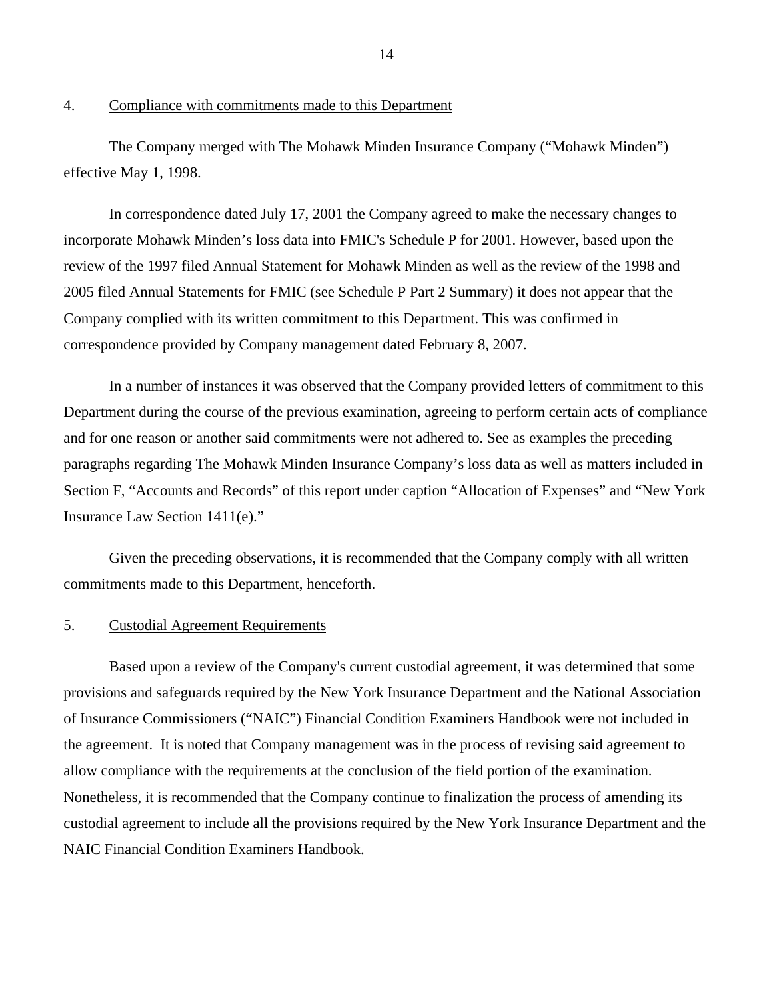## 4. Compliance with commitments made to this Department

The Company merged with The Mohawk Minden Insurance Company ("Mohawk Minden") effective May 1, 1998.

In correspondence dated July 17, 2001 the Company agreed to make the necessary changes to incorporate Mohawk Minden's loss data into FMIC's Schedule P for 2001. However, based upon the review of the 1997 filed Annual Statement for Mohawk Minden as well as the review of the 1998 and 2005 filed Annual Statements for FMIC (see Schedule P Part 2 Summary) it does not appear that the Company complied with its written commitment to this Department. This was confirmed in correspondence provided by Company management dated February 8, 2007.

In a number of instances it was observed that the Company provided letters of commitment to this Department during the course of the previous examination, agreeing to perform certain acts of compliance and for one reason or another said commitments were not adhered to. See as examples the preceding paragraphs regarding The Mohawk Minden Insurance Company's loss data as well as matters included in Section F, "Accounts and Records" of this report under caption "Allocation of Expenses" and "New York Insurance Law Section 1411(e)."

Given the preceding observations, it is recommended that the Company comply with all written commitments made to this Department, henceforth.

## 5. Custodial Agreement Requirements

Based upon a review of the Company's current custodial agreement, it was determined that some provisions and safeguards required by the New York Insurance Department and the National Association of Insurance Commissioners ("NAIC") Financial Condition Examiners Handbook were not included in the agreement. It is noted that Company management was in the process of revising said agreement to allow compliance with the requirements at the conclusion of the field portion of the examination. Nonetheless, it is recommended that the Company continue to finalization the process of amending its custodial agreement to include all the provisions required by the New York Insurance Department and the NAIC Financial Condition Examiners Handbook.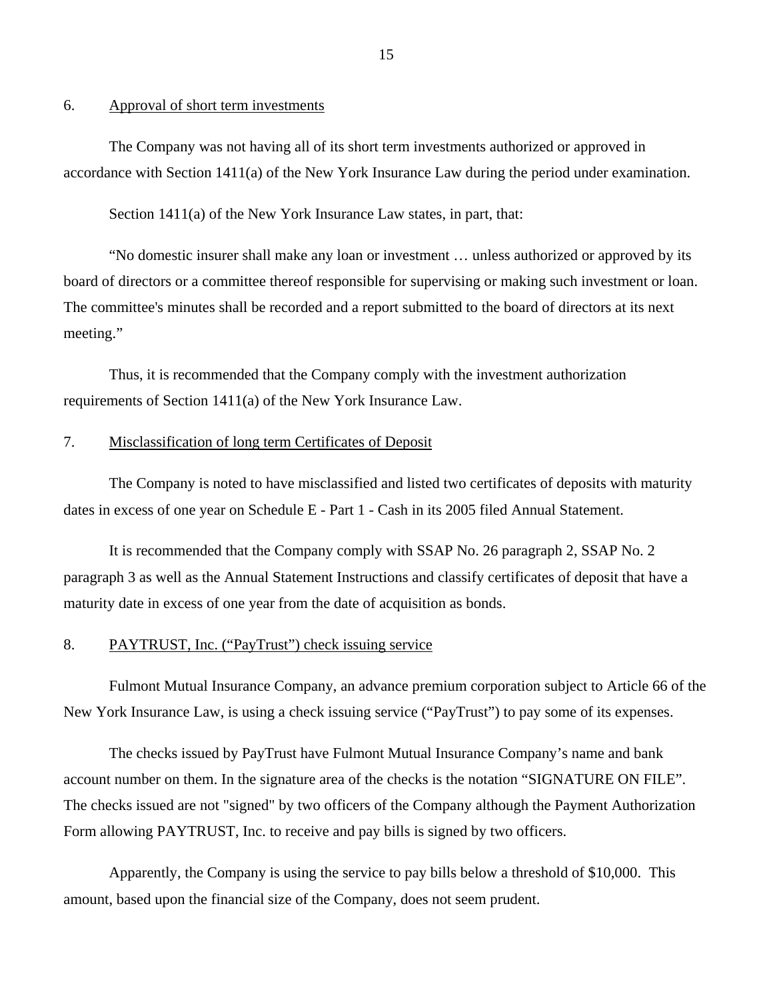#### 6. Approval of short term investments

The Company was not having all of its short term investments authorized or approved in accordance with Section 1411(a) of the New York Insurance Law during the period under examination.

Section 1411(a) of the New York Insurance Law states, in part, that:

"No domestic insurer shall make any loan or investment … unless authorized or approved by its board of directors or a committee thereof responsible for supervising or making such investment or loan. The committee's minutes shall be recorded and a report submitted to the board of directors at its next meeting."

Thus, it is recommended that the Company comply with the investment authorization requirements of Section 1411(a) of the New York Insurance Law.

## 7. Misclassification of long term Certificates of Deposit

The Company is noted to have misclassified and listed two certificates of deposits with maturity dates in excess of one year on Schedule E - Part 1 - Cash in its 2005 filed Annual Statement.

It is recommended that the Company comply with SSAP No. 26 paragraph 2, SSAP No. 2 paragraph 3 as well as the Annual Statement Instructions and classify certificates of deposit that have a maturity date in excess of one year from the date of acquisition as bonds.

## 8. PAYTRUST, Inc. ("PayTrust") check issuing service

Fulmont Mutual Insurance Company, an advance premium corporation subject to Article 66 of the New York Insurance Law, is using a check issuing service ("PayTrust") to pay some of its expenses.

The checks issued by PayTrust have Fulmont Mutual Insurance Company's name and bank account number on them. In the signature area of the checks is the notation "SIGNATURE ON FILE". The checks issued are not "signed" by two officers of the Company although the Payment Authorization Form allowing PAYTRUST, Inc. to receive and pay bills is signed by two officers.

Apparently, the Company is using the service to pay bills below a threshold of \$10,000. This amount, based upon the financial size of the Company, does not seem prudent.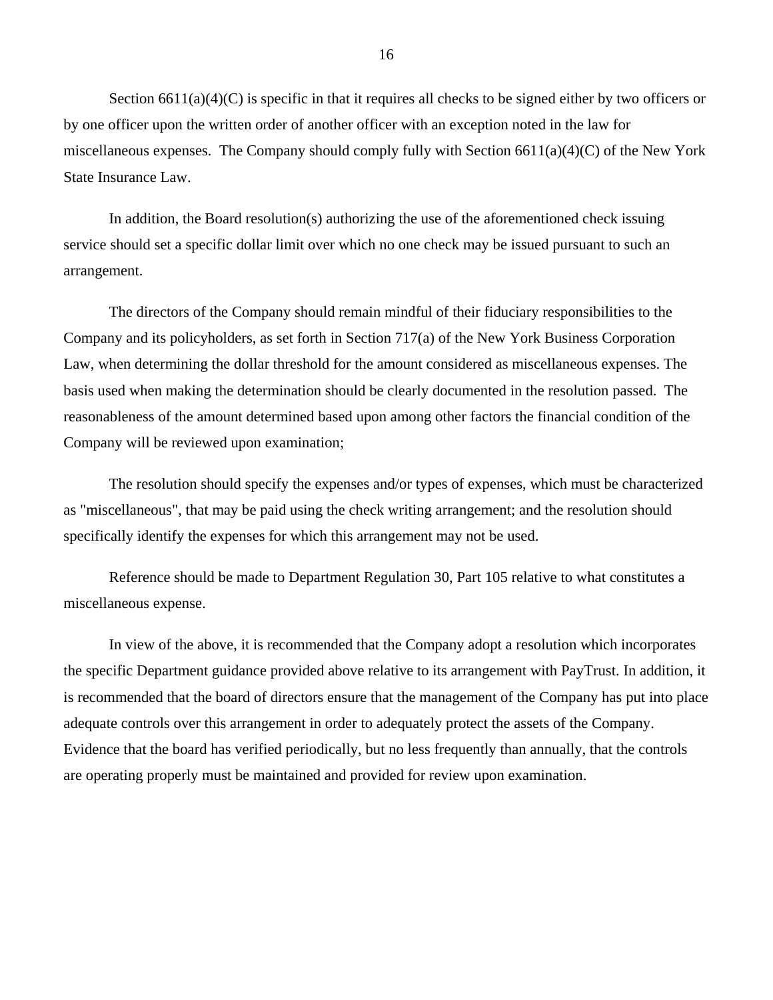Section  $6611(a)(4)(C)$  is specific in that it requires all checks to be signed either by two officers or by one officer upon the written order of another officer with an exception noted in the law for miscellaneous expenses. The Company should comply fully with Section  $6611(a)(4)(C)$  of the New York State Insurance Law.

In addition, the Board resolution(s) authorizing the use of the aforementioned check issuing service should set a specific dollar limit over which no one check may be issued pursuant to such an arrangement.

The directors of the Company should remain mindful of their fiduciary responsibilities to the Company and its policyholders, as set forth in Section 717(a) of the New York Business Corporation Law, when determining the dollar threshold for the amount considered as miscellaneous expenses. The basis used when making the determination should be clearly documented in the resolution passed. The reasonableness of the amount determined based upon among other factors the financial condition of the Company will be reviewed upon examination;

The resolution should specify the expenses and/or types of expenses, which must be characterized as "miscellaneous", that may be paid using the check writing arrangement; and the resolution should specifically identify the expenses for which this arrangement may not be used.

Reference should be made to Department Regulation 30, Part 105 relative to what constitutes a miscellaneous expense.

In view of the above, it is recommended that the Company adopt a resolution which incorporates the specific Department guidance provided above relative to its arrangement with PayTrust. In addition, it is recommended that the board of directors ensure that the management of the Company has put into place adequate controls over this arrangement in order to adequately protect the assets of the Company. Evidence that the board has verified periodically, but no less frequently than annually, that the controls are operating properly must be maintained and provided for review upon examination.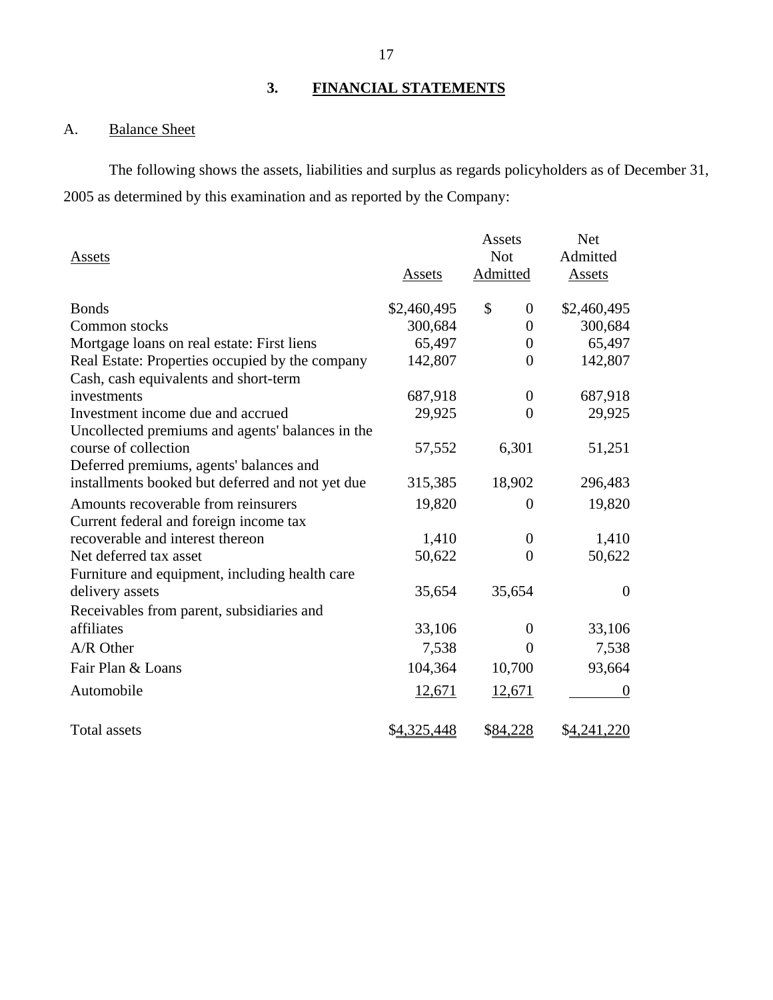# **3. FINANCIAL STATEMENTS**

# <span id="page-18-1"></span><span id="page-18-0"></span>A. Balance Sheet

The following shows the assets, liabilities and surplus as regards policyholders as of December 31, 2005 as determined by this examination and as reported by the Company:

| Assets                                           | Assets      | Assets<br><b>Not</b><br>Admitted | <b>Net</b><br>Admitted<br>Assets |
|--------------------------------------------------|-------------|----------------------------------|----------------------------------|
| <b>Bonds</b>                                     | \$2,460,495 | \$<br>$\boldsymbol{0}$           | \$2,460,495                      |
| Common stocks                                    | 300,684     | $\theta$                         | 300,684                          |
| Mortgage loans on real estate: First liens       | 65,497      | $\theta$                         | 65,497                           |
| Real Estate: Properties occupied by the company  | 142,807     | $\theta$                         | 142,807                          |
| Cash, cash equivalents and short-term            |             |                                  |                                  |
| investments                                      | 687,918     | $\theta$                         | 687,918                          |
| Investment income due and accrued                | 29,925      | $\Omega$                         | 29,925                           |
| Uncollected premiums and agents' balances in the |             |                                  |                                  |
| course of collection                             | 57,552      | 6,301                            | 51,251                           |
| Deferred premiums, agents' balances and          |             |                                  |                                  |
| installments booked but deferred and not yet due | 315,385     | 18,902                           | 296,483                          |
| Amounts recoverable from reinsurers              | 19,820      | 0                                | 19,820                           |
| Current federal and foreign income tax           |             |                                  |                                  |
| recoverable and interest thereon                 | 1,410       | $\theta$                         | 1,410                            |
| Net deferred tax asset                           | 50,622      | $\theta$                         | 50,622                           |
| Furniture and equipment, including health care   |             |                                  |                                  |
| delivery assets                                  | 35,654      | 35,654                           | $\overline{0}$                   |
| Receivables from parent, subsidiaries and        |             |                                  |                                  |
| affiliates                                       | 33,106      | $\theta$                         | 33,106                           |
| A/R Other                                        | 7,538       | $\Omega$                         | 7,538                            |
| Fair Plan & Loans                                | 104,364     | 10,700                           | 93,664                           |
| Automobile                                       | 12,671      | 12,671                           | $\theta$                         |
| <b>Total assets</b>                              | \$4,325,448 | \$84,228                         | \$4,241,220                      |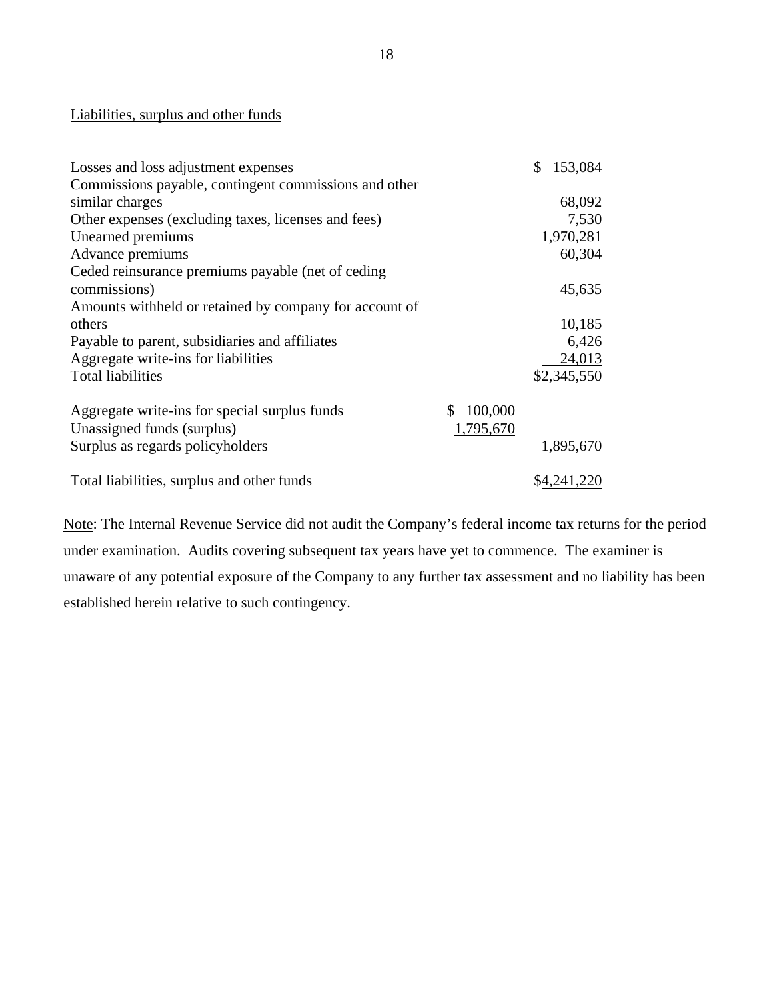## Liabilities, surplus and other funds

| Losses and loss adjustment expenses                    |               | 153,084     |
|--------------------------------------------------------|---------------|-------------|
| Commissions payable, contingent commissions and other  |               |             |
| similar charges                                        |               | 68,092      |
| Other expenses (excluding taxes, licenses and fees)    |               | 7,530       |
| Unearned premiums                                      |               | 1,970,281   |
| Advance premiums                                       |               | 60,304      |
| Ceded reinsurance premiums payable (net of ceding      |               |             |
| commissions)                                           |               | 45,635      |
| Amounts withheld or retained by company for account of |               |             |
| others                                                 |               | 10,185      |
| Payable to parent, subsidiaries and affiliates         |               | 6,426       |
| Aggregate write-ins for liabilities                    |               | 24,013      |
| <b>Total liabilities</b>                               |               | \$2,345,550 |
| Aggregate write-ins for special surplus funds          | 100,000<br>S. |             |
| Unassigned funds (surplus)                             | 1,795,670     |             |
| Surplus as regards policyholders                       |               | 1,895,670   |
| Total liabilities, surplus and other funds             |               | \$4,241,220 |

Note: The Internal Revenue Service did not audit the Company's federal income tax returns for the period under examination. Audits covering subsequent tax years have yet to commence. The examiner is unaware of any potential exposure of the Company to any further tax assessment and no liability has been established herein relative to such contingency.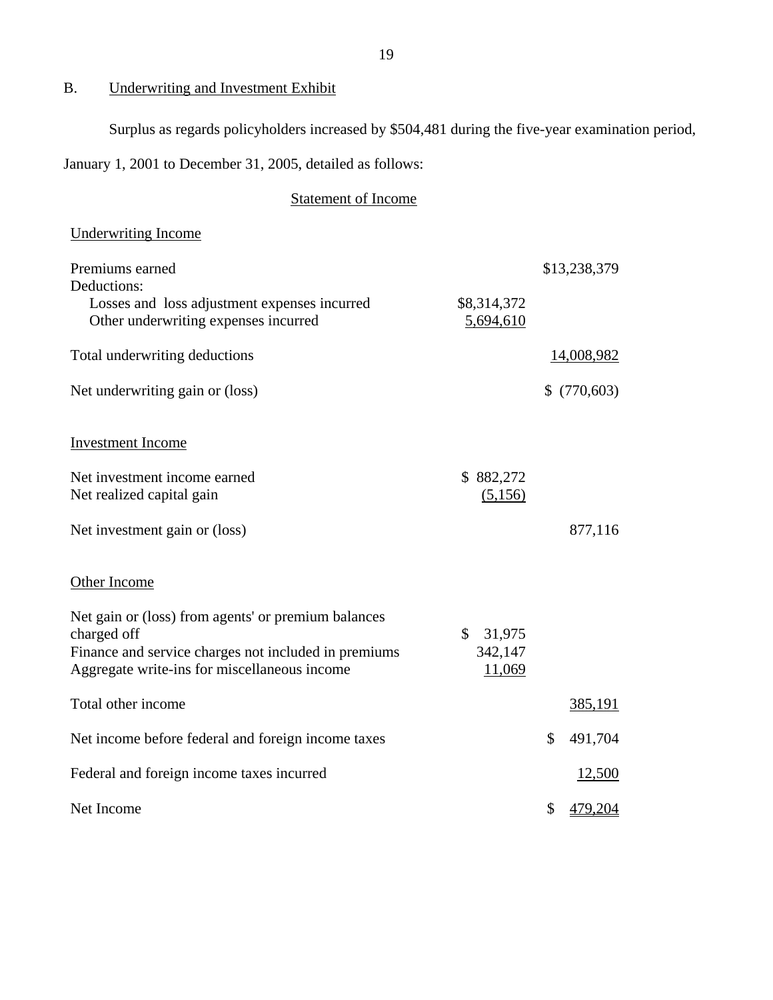# <span id="page-20-0"></span>B. Underwriting and Investment Exhibit

Surplus as regards policyholders increased by \$504,481 during the five-year examination period,

January 1, 2001 to December 31, 2005, detailed as follows:

# Statement of Income

| <b>Underwriting Income</b>                                                                                                                                                 |                                             |               |
|----------------------------------------------------------------------------------------------------------------------------------------------------------------------------|---------------------------------------------|---------------|
| Premiums earned<br>Deductions:<br>Losses and loss adjustment expenses incurred<br>Other underwriting expenses incurred                                                     | \$8,314,372<br>5,694,610                    | \$13,238,379  |
| Total underwriting deductions                                                                                                                                              |                                             | 14,008,982    |
| Net underwriting gain or (loss)                                                                                                                                            |                                             | \$(770,603)   |
| <b>Investment Income</b>                                                                                                                                                   |                                             |               |
| Net investment income earned<br>Net realized capital gain                                                                                                                  | \$882,272<br>(5,156)                        |               |
| Net investment gain or (loss)                                                                                                                                              |                                             | 877,116       |
| Other Income                                                                                                                                                               |                                             |               |
| Net gain or (loss) from agents' or premium balances<br>charged off<br>Finance and service charges not included in premiums<br>Aggregate write-ins for miscellaneous income | $\mathbb{S}$<br>31,975<br>342,147<br>11,069 |               |
| Total other income                                                                                                                                                         |                                             | 385,191       |
| Net income before federal and foreign income taxes                                                                                                                         |                                             | \$<br>491,704 |
| Federal and foreign income taxes incurred                                                                                                                                  |                                             | 12,500        |
| Net Income                                                                                                                                                                 |                                             | \$<br>479,204 |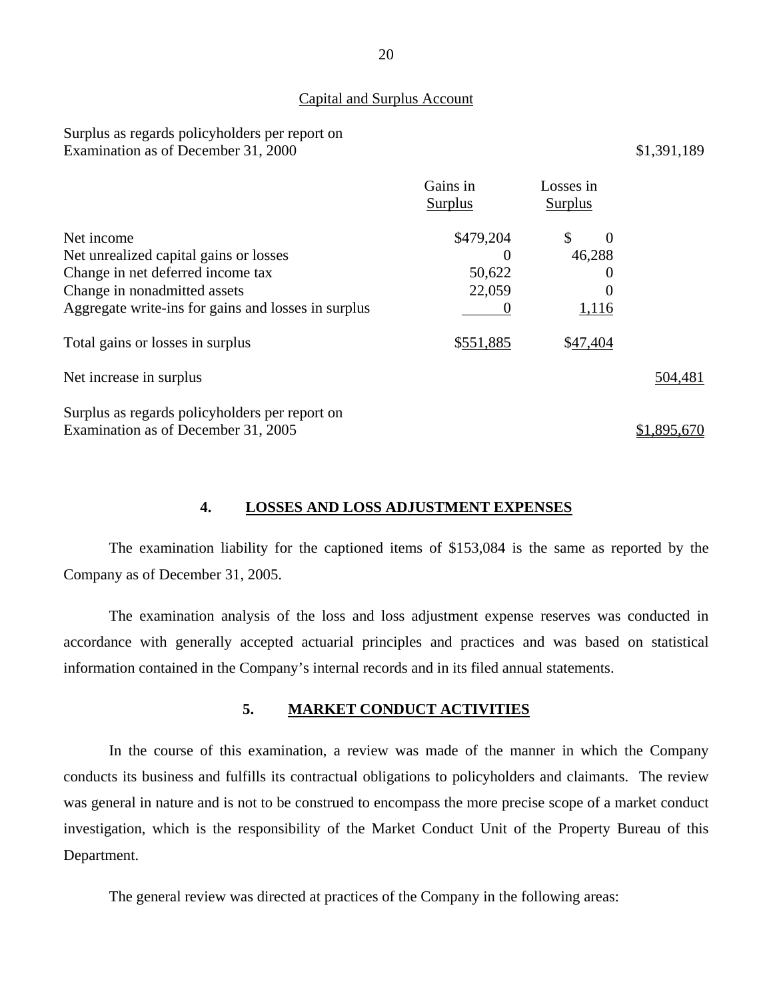### Capital and Surplus Account

## Surplus as regards policyholders per report on Examination as of December 31, 2000 \$1,391,189

|                                                     | Gains in<br><b>Surplus</b> | Losses in<br>Surplus |             |
|-----------------------------------------------------|----------------------------|----------------------|-------------|
| Net income                                          | \$479,204                  | \$<br>$\Omega$       |             |
| Net unrealized capital gains or losses              | O                          | 46,288               |             |
| Change in net deferred income tax                   | 50,622                     | 0                    |             |
| Change in nonadmitted assets                        | 22,059                     |                      |             |
| Aggregate write-ins for gains and losses in surplus |                            | <u>1,116</u>         |             |
| Total gains or losses in surplus                    | \$551,885                  | \$47,404             |             |
| Net increase in surplus                             |                            |                      | 504,481     |
| Surplus as regards policyholders per report on      |                            |                      |             |
| Examination as of December 31, 2005                 |                            |                      | \$1,895,670 |

## **4. LOSSES AND LOSS ADJUSTMENT EXPENSES**

<span id="page-21-0"></span>The examination liability for the captioned items of \$153,084 is the same as reported by the Company as of December 31, 2005.

The examination analysis of the loss and loss adjustment expense reserves was conducted in accordance with generally accepted actuarial principles and practices and was based on statistical information contained in the Company's internal records and in its filed annual statements.

## **5. MARKET CONDUCT ACTIVITIES**

<span id="page-21-1"></span>In the course of this examination, a review was made of the manner in which the Company conducts its business and fulfills its contractual obligations to policyholders and claimants. The review was general in nature and is not to be construed to encompass the more precise scope of a market conduct investigation, which is the responsibility of the Market Conduct Unit of the Property Bureau of this Department.

The general review was directed at practices of the Company in the following areas: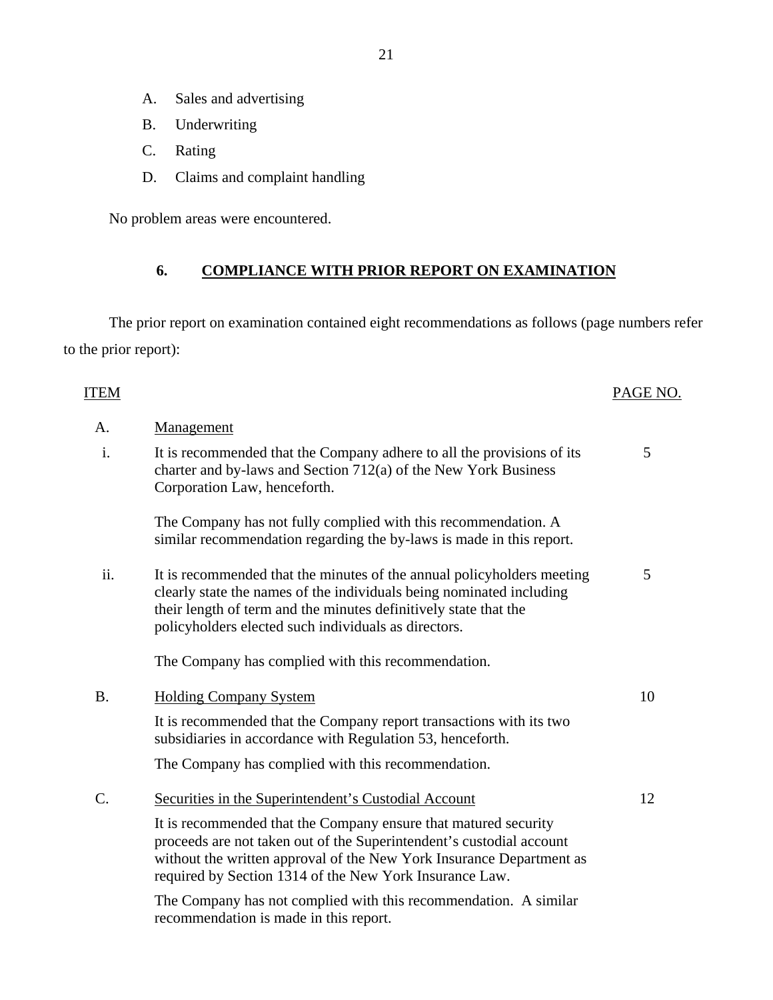- A. Sales and advertising
- B. Underwriting
- C. Rating
- D. Claims and complaint handling

No problem areas were encountered.

# **6. COMPLIANCE WITH PRIOR REPORT ON EXAMINATION**

<span id="page-22-0"></span>The prior report on examination contained eight recommendations as follows (page numbers refer to the prior report):

| ITEM            |                                                                                                                                                                                                                                                                            | PAGE NO. |
|-----------------|----------------------------------------------------------------------------------------------------------------------------------------------------------------------------------------------------------------------------------------------------------------------------|----------|
| A.              | Management                                                                                                                                                                                                                                                                 |          |
| i.              | It is recommended that the Company adhere to all the provisions of its<br>charter and by-laws and Section 712(a) of the New York Business<br>Corporation Law, henceforth.                                                                                                  | 5        |
|                 | The Company has not fully complied with this recommendation. A<br>similar recommendation regarding the by-laws is made in this report.                                                                                                                                     |          |
| ii.             | It is recommended that the minutes of the annual policyholders meeting<br>clearly state the names of the individuals being nominated including<br>their length of term and the minutes definitively state that the<br>policyholders elected such individuals as directors. | 5        |
|                 | The Company has complied with this recommendation.                                                                                                                                                                                                                         |          |
| <b>B.</b>       | <b>Holding Company System</b>                                                                                                                                                                                                                                              | 10       |
|                 | It is recommended that the Company report transactions with its two<br>subsidiaries in accordance with Regulation 53, henceforth.                                                                                                                                          |          |
|                 | The Company has complied with this recommendation.                                                                                                                                                                                                                         |          |
| $\mathcal{C}$ . | Securities in the Superintendent's Custodial Account                                                                                                                                                                                                                       | 12       |
|                 | It is recommended that the Company ensure that matured security<br>proceeds are not taken out of the Superintendent's custodial account<br>without the written approval of the New York Insurance Department as<br>required by Section 1314 of the New York Insurance Law. |          |
|                 | The Company has not complied with this recommendation. A similar                                                                                                                                                                                                           |          |

recommendation is made in this report.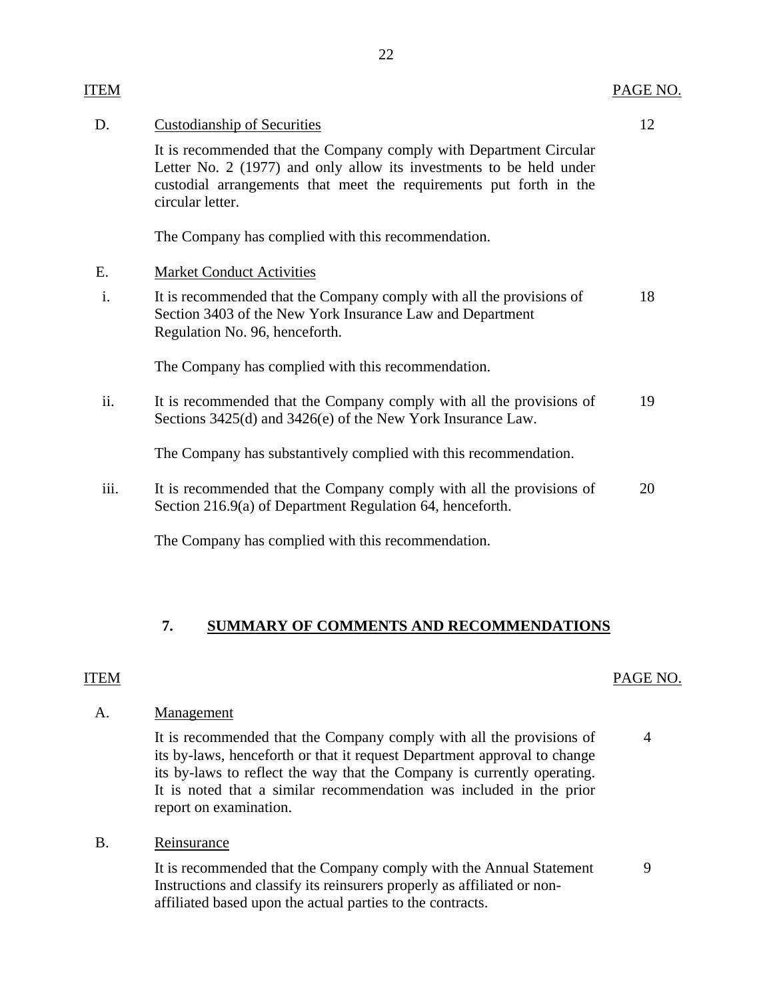| <b>ITEM</b> |                                                                                                                                                                                                                                     | PAGE NO. |
|-------------|-------------------------------------------------------------------------------------------------------------------------------------------------------------------------------------------------------------------------------------|----------|
| D.          | <b>Custodianship of Securities</b>                                                                                                                                                                                                  | 12       |
|             | It is recommended that the Company comply with Department Circular<br>Letter No. 2 (1977) and only allow its investments to be held under<br>custodial arrangements that meet the requirements put forth in the<br>circular letter. |          |
|             | The Company has complied with this recommendation.                                                                                                                                                                                  |          |
| Ε.          | <b>Market Conduct Activities</b>                                                                                                                                                                                                    |          |
| i.          | It is recommended that the Company comply with all the provisions of<br>Section 3403 of the New York Insurance Law and Department<br>Regulation No. 96, henceforth.                                                                 | 18       |
|             | The Company has complied with this recommendation.                                                                                                                                                                                  |          |
| ii.         | It is recommended that the Company comply with all the provisions of<br>Sections 3425(d) and 3426(e) of the New York Insurance Law.                                                                                                 | 19       |
|             | The Company has substantively complied with this recommendation.                                                                                                                                                                    |          |
| iii.        | It is recommended that the Company comply with all the provisions of<br>Section 216.9(a) of Department Regulation 64, henceforth.                                                                                                   | 20       |
|             | The Company has complied with this recommendation.                                                                                                                                                                                  |          |

# **7. SUMMARY OF COMMENTS AND RECOMMENDATIONS**

## <span id="page-23-0"></span>ITEM PAGE NO.

## A. Management

It is recommended that the Company comply with all the provisions of 4 its by-laws, henceforth or that it request Department approval to change its by-laws to reflect the way that the Company is currently operating. It is noted that a similar recommendation was included in the prior report on examination.

B. Reinsurance

It is recommended that the Company comply with the Annual Statement 9 Instructions and classify its reinsurers properly as affiliated or nonaffiliated based upon the actual parties to the contracts.

22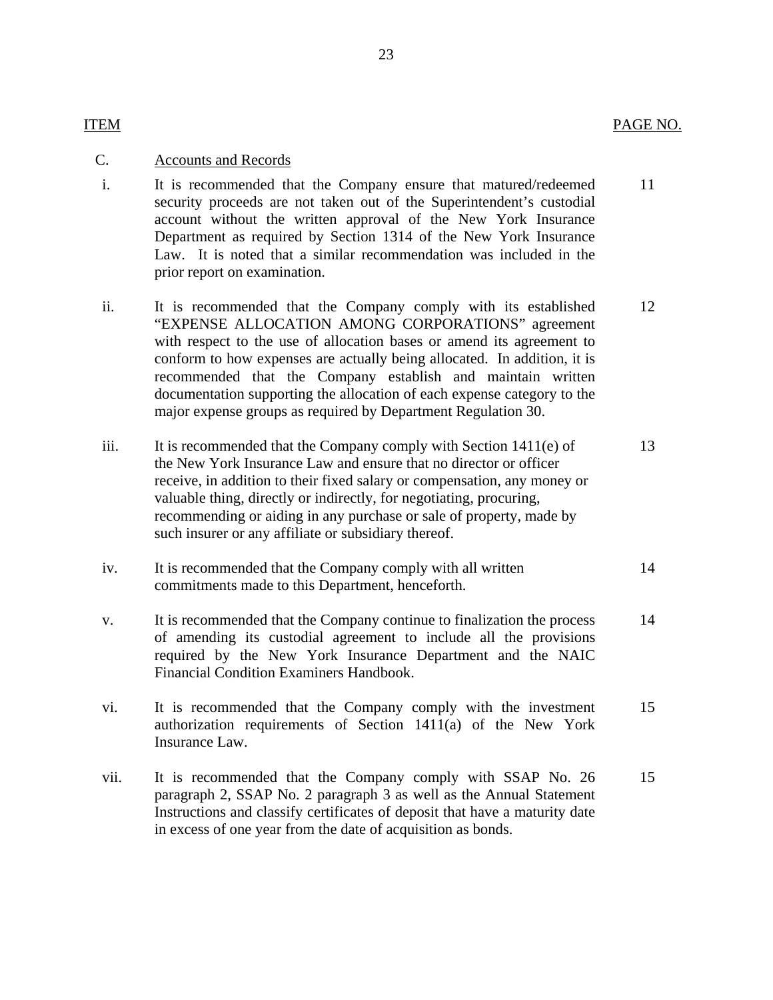## ITEM PAGE NO.

## C. Accounts and Records

- i. It is recommended that the Company ensure that matured/redeemed 11 security proceeds are not taken out of the Superintendent's custodial account without the written approval of the New York Insurance Department as required by Section 1314 of the New York Insurance Law. It is noted that a similar recommendation was included in the prior report on examination.
- ii. It is recommended that the Company comply with its established 12 "EXPENSE ALLOCATION AMONG CORPORATIONS" agreement with respect to the use of allocation bases or amend its agreement to conform to how expenses are actually being allocated. In addition, it is recommended that the Company establish and maintain written documentation supporting the allocation of each expense category to the major expense groups as required by Department Regulation 30.
- iii. It is recommended that the Company comply with Section  $1411(e)$  of 13 the New York Insurance Law and ensure that no director or officer receive, in addition to their fixed salary or compensation, any money or valuable thing, directly or indirectly, for negotiating, procuring, recommending or aiding in any purchase or sale of property, made by such insurer or any affiliate or subsidiary thereof.
- iv. It is recommended that the Company comply with all written 14 commitments made to this Department, henceforth.
- v. It is recommended that the Company continue to finalization the process 14 of amending its custodial agreement to include all the provisions required by the New York Insurance Department and the NAIC Financial Condition Examiners Handbook.
- vi. It is recommended that the Company comply with the investment 15 authorization requirements of Section 1411(a) of the New York Insurance Law.
- vii. It is recommended that the Company comply with SSAP No. 26 15 paragraph 2, SSAP No. 2 paragraph 3 as well as the Annual Statement Instructions and classify certificates of deposit that have a maturity date in excess of one year from the date of acquisition as bonds.

### 23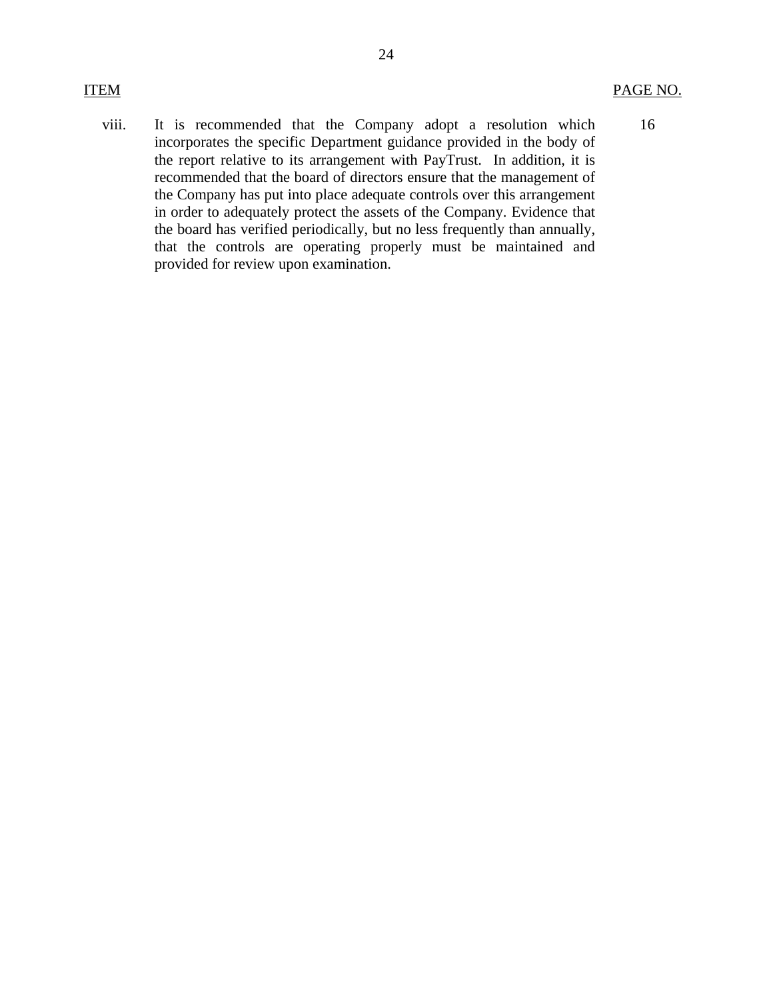16

viii. It is recommended that the Company adopt a resolution which incorporates the specific Department guidance provided in the body of the report relative to its arrangement with PayTrust. In addition, it is recommended that the board of directors ensure that the management of the Company has put into place adequate controls over this arrangement in order to adequately protect the assets of the Company. Evidence that the board has verified periodically, but no less frequently than annually, that the controls are operating properly must be maintained and provided for review upon examination.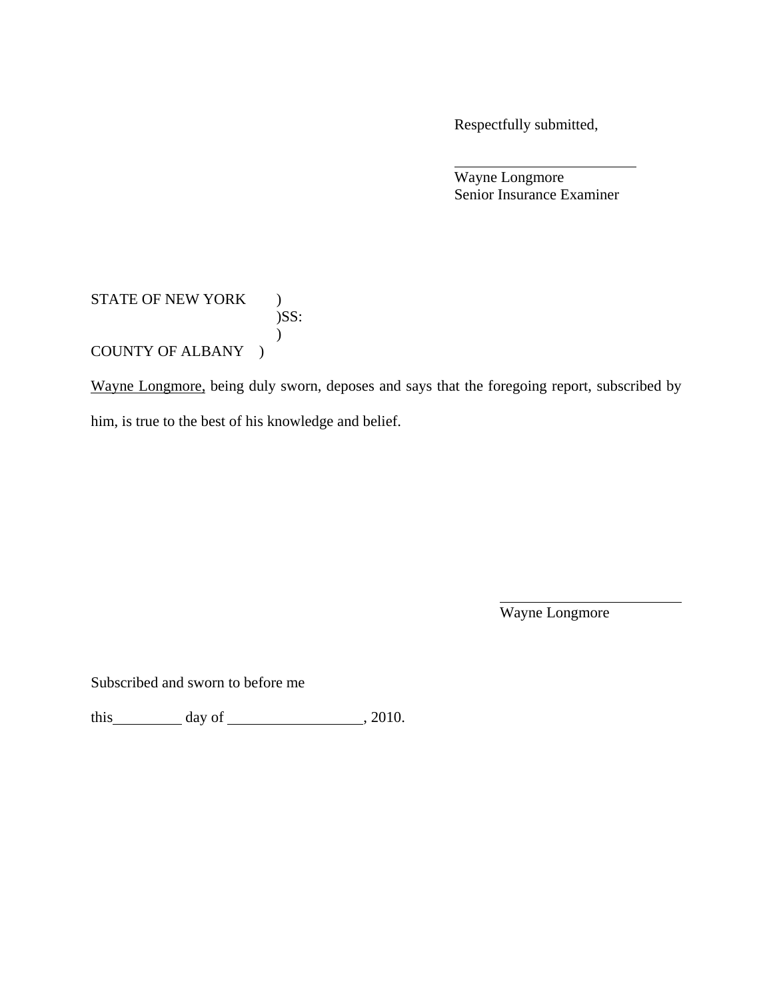Respectfully submitted,

 Wayne Longmore Senior Insurance Examiner

## STATE OF NEW YORK ) )SS:  $\mathcal{L}$ COUNTY OF ALBANY )

Wayne Longmore, being duly sworn, deposes and says that the foregoing report, subscribed by him, is true to the best of his knowledge and belief.

Wayne Longmore

Subscribed and sworn to before me

this  $\_\_\_\_\$  day of  $\_\_\_\_\_\_\$  , 2010.